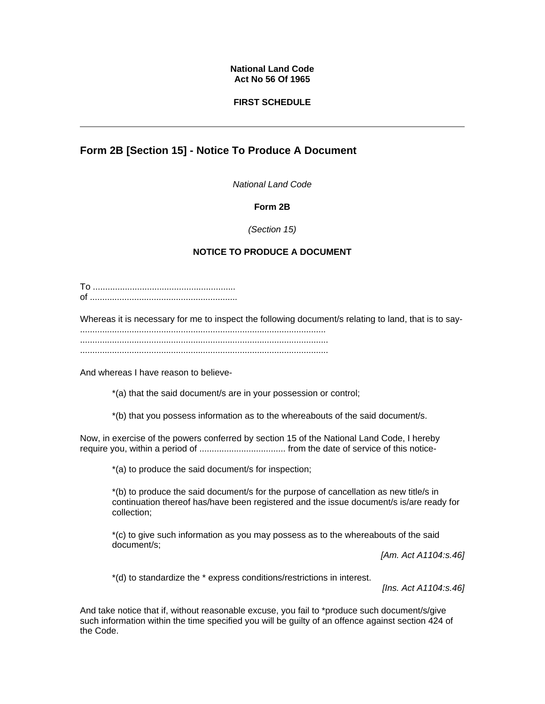#### **National Land Code Act No 56 Of 1965**

### **FIRST SCHEDULE**

# **Form 2B [Section 15] - Notice To Produce A Document**

*National Land Code*

### **Form 2B**

*(Section 15)*

## **NOTICE TO PRODUCE A DOCUMENT**

To .......................................................... of ............................................................

Whereas it is necessary for me to inspect the following document/s relating to land, that is to say- .................................................................................................... ..................................................................................................... .....................................................................................................

And whereas I have reason to believe-

\*(a) that the said document/s are in your possession or control;

\*(b) that you possess information as to the whereabouts of the said document/s.

Now, in exercise of the powers conferred by section 15 of the National Land Code, I hereby require you, within a period of ................................... from the date of service of this notice-

\*(a) to produce the said document/s for inspection;

\*(b) to produce the said document/s for the purpose of cancellation as new title/s in continuation thereof has/have been registered and the issue document/s is/are ready for collection;

\*(c) to give such information as you may possess as to the whereabouts of the said document/s;

*[Am. Act A1104:s.46]*

\*(d) to standardize the \* express conditions/restrictions in interest.

*[Ins. Act A1104:s.46]*

And take notice that if, without reasonable excuse, you fail to \*produce such document/s/give such information within the time specified you will be guilty of an offence against section 424 of the Code.